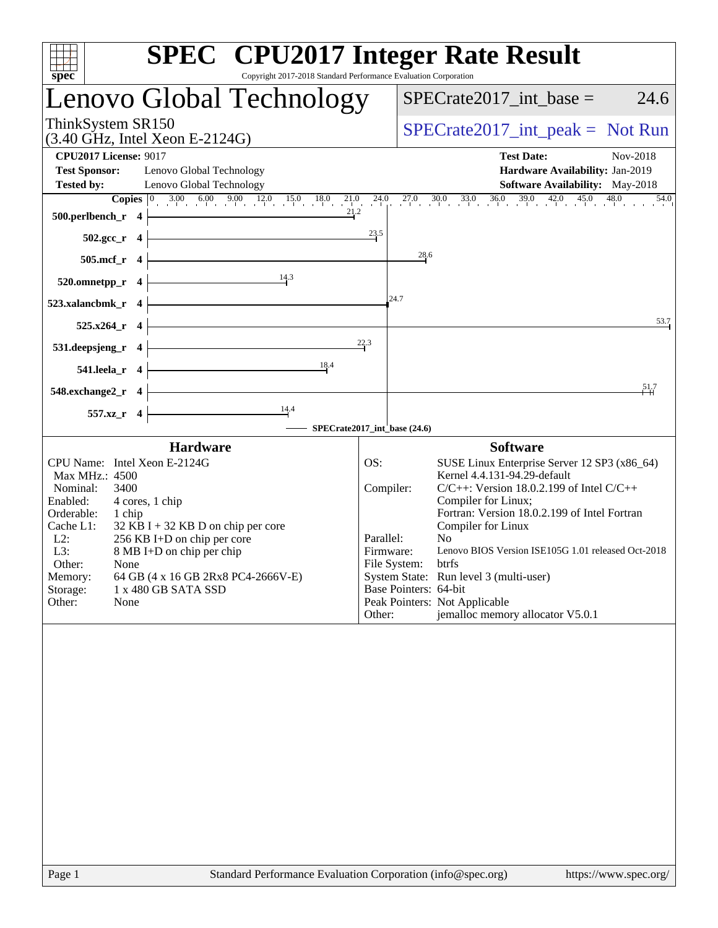| Copyright 2017-2018 Standard Performance Evaluation Corporation<br>spec                                                                                                                                                                                                                                                                                                                                | <b>SPEC<sup>®</sup></b> CPU2017 Integer Rate Result                                                                                                                                                                                                                                                                                                                                                                                                                                                                                            |
|--------------------------------------------------------------------------------------------------------------------------------------------------------------------------------------------------------------------------------------------------------------------------------------------------------------------------------------------------------------------------------------------------------|------------------------------------------------------------------------------------------------------------------------------------------------------------------------------------------------------------------------------------------------------------------------------------------------------------------------------------------------------------------------------------------------------------------------------------------------------------------------------------------------------------------------------------------------|
| Lenovo Global Technology                                                                                                                                                                                                                                                                                                                                                                               | 24.6<br>$SPECrate2017\_int\_base =$                                                                                                                                                                                                                                                                                                                                                                                                                                                                                                            |
| ThinkSystem SR150<br>$(3.40 \text{ GHz}, \text{Intel Xeon E-2124G})$                                                                                                                                                                                                                                                                                                                                   | $SPECrate2017\_int\_peak = Not Run$                                                                                                                                                                                                                                                                                                                                                                                                                                                                                                            |
| <b>CPU2017 License: 9017</b><br><b>Test Sponsor:</b><br>Lenovo Global Technology<br><b>Tested by:</b><br>Lenovo Global Technology                                                                                                                                                                                                                                                                      | <b>Test Date:</b><br>Nov-2018<br>Hardware Availability: Jan-2019<br><b>Software Availability:</b> May-2018<br><b>Copies</b> $\begin{bmatrix} 0 & 3.00 & 6.00 & 9.00 & 12.0 & 15.0 & 18.0 & 21.0 & 24.0 & 27.0 & 30.0 & 33.0 & 36.0 & 39.0 & 42.0 & 45.0 & 48.0 \end{bmatrix}$<br>54.0                                                                                                                                                                                                                                                          |
| 21.2<br>500.perlbench_r 4                                                                                                                                                                                                                                                                                                                                                                              |                                                                                                                                                                                                                                                                                                                                                                                                                                                                                                                                                |
| $502.\text{gcc}_r$ 4<br>505.mcf_r 4                                                                                                                                                                                                                                                                                                                                                                    | 23.5<br>28.6                                                                                                                                                                                                                                                                                                                                                                                                                                                                                                                                   |
| $\frac{14.3}{2}$<br>520.omnetpp_r 4                                                                                                                                                                                                                                                                                                                                                                    |                                                                                                                                                                                                                                                                                                                                                                                                                                                                                                                                                |
| <u> 1989 - Johann Barn, mars eta inperiodo</u><br>523.xalancbmk_r 4                                                                                                                                                                                                                                                                                                                                    | 24.7                                                                                                                                                                                                                                                                                                                                                                                                                                                                                                                                           |
| 525.x264_r 4                                                                                                                                                                                                                                                                                                                                                                                           | 53.7                                                                                                                                                                                                                                                                                                                                                                                                                                                                                                                                           |
| <u> 1989 - Johann Stoff, fransk politik (</u><br>$531. \text{deepsjeng}_r$ 4                                                                                                                                                                                                                                                                                                                           | 22.3                                                                                                                                                                                                                                                                                                                                                                                                                                                                                                                                           |
| 18.4<br><u> 1980 - Johann Barn, mars an t-Amerikaansk kommunister (</u><br>541.leela_r $4$                                                                                                                                                                                                                                                                                                             | 51.7                                                                                                                                                                                                                                                                                                                                                                                                                                                                                                                                           |
| $548$ .exchange2_r 4<br>$\overline{\phantom{a}14.4}$<br>557.xz_r 4                                                                                                                                                                                                                                                                                                                                     |                                                                                                                                                                                                                                                                                                                                                                                                                                                                                                                                                |
|                                                                                                                                                                                                                                                                                                                                                                                                        | SPECrate2017_int_base (24.6)                                                                                                                                                                                                                                                                                                                                                                                                                                                                                                                   |
| <b>Hardware</b><br>CPU Name: Intel Xeon E-2124G<br>Max MHz.: 4500<br>Nominal:<br>3400<br>Enabled:<br>4 cores, 1 chip<br>Orderable:<br>1 chip<br>Cache L1:<br>$32$ KB I + 32 KB D on chip per core<br>$L2$ :<br>256 KB I+D on chip per core<br>L3:<br>8 MB I+D on chip per chip<br>Other:<br>None<br>Memory:<br>64 GB (4 x 16 GB 2Rx8 PC4-2666V-E)<br>Storage:<br>1 x 480 GB SATA SSD<br>Other:<br>None | <b>Software</b><br>SUSE Linux Enterprise Server 12 SP3 (x86_64)<br>OS:<br>Kernel 4.4.131-94.29-default<br>$C/C++$ : Version 18.0.2.199 of Intel $C/C++$<br>Compiler:<br>Compiler for Linux;<br>Fortran: Version 18.0.2.199 of Intel Fortran<br>Compiler for Linux<br>Parallel:<br>N <sub>o</sub><br>Lenovo BIOS Version ISE105G 1.01 released Oct-2018<br>Firmware:<br>File System:<br>btrfs<br>System State: Run level 3 (multi-user)<br>Base Pointers: 64-bit<br>Peak Pointers: Not Applicable<br>jemalloc memory allocator V5.0.1<br>Other: |
|                                                                                                                                                                                                                                                                                                                                                                                                        |                                                                                                                                                                                                                                                                                                                                                                                                                                                                                                                                                |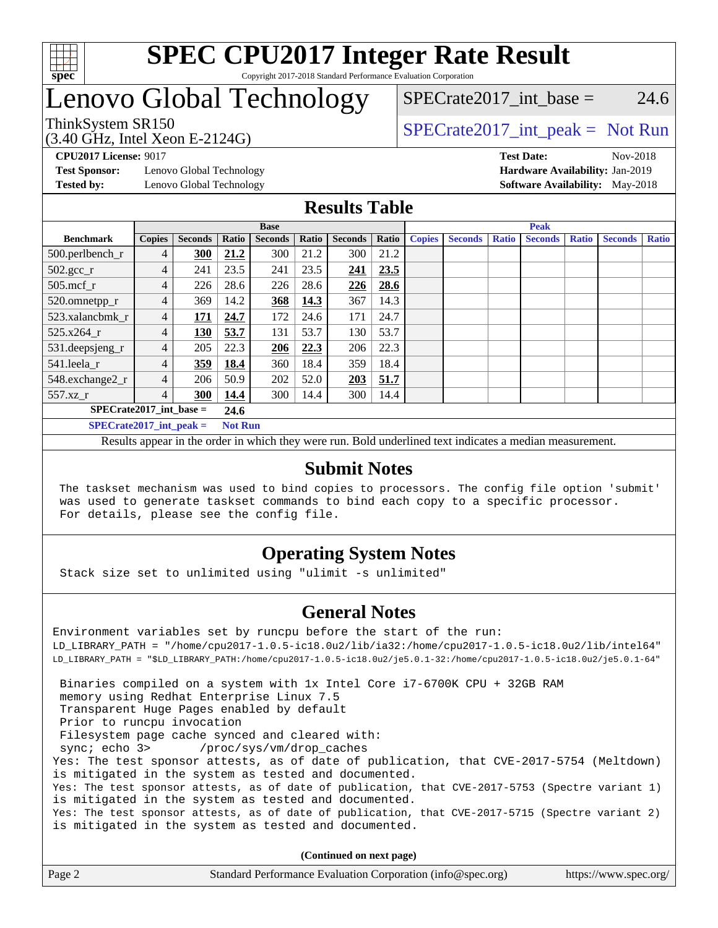

## Lenovo Global Technology

### SPECrate2017 int\_base =  $24.6$

(3.40 GHz, Intel Xeon E-2124G)

ThinkSystem SR150<br>  $SPECTR_{15}$  [SPECrate2017\\_int\\_peak =](http://www.spec.org/auto/cpu2017/Docs/result-fields.html#SPECrate2017intpeak) Not Run

**[Test Sponsor:](http://www.spec.org/auto/cpu2017/Docs/result-fields.html#TestSponsor)** Lenovo Global Technology **[Hardware Availability:](http://www.spec.org/auto/cpu2017/Docs/result-fields.html#HardwareAvailability)** Jan-2019

**[CPU2017 License:](http://www.spec.org/auto/cpu2017/Docs/result-fields.html#CPU2017License)** 9017 **[Test Date:](http://www.spec.org/auto/cpu2017/Docs/result-fields.html#TestDate)** Nov-2018 **[Tested by:](http://www.spec.org/auto/cpu2017/Docs/result-fields.html#Testedby)** Lenovo Global Technology **[Software Availability:](http://www.spec.org/auto/cpu2017/Docs/result-fields.html#SoftwareAvailability)** May-2018

### **[Results Table](http://www.spec.org/auto/cpu2017/Docs/result-fields.html#ResultsTable)**

|                             | <b>Base</b>    |                |                |                |       |                | <b>Peak</b> |               |                |              |                |              |                |              |
|-----------------------------|----------------|----------------|----------------|----------------|-------|----------------|-------------|---------------|----------------|--------------|----------------|--------------|----------------|--------------|
| <b>Benchmark</b>            | <b>Copies</b>  | <b>Seconds</b> | Ratio          | <b>Seconds</b> | Ratio | <b>Seconds</b> | Ratio       | <b>Copies</b> | <b>Seconds</b> | <b>Ratio</b> | <b>Seconds</b> | <b>Ratio</b> | <b>Seconds</b> | <b>Ratio</b> |
| 500.perlbench_r             | 4              | 300            | 21.2           | 300            | 21.2  | 300            | 21.2        |               |                |              |                |              |                |              |
| $502.\text{sec}$            | 4              | 241            | 23.5           | 241            | 23.5  | 241            | 23.5        |               |                |              |                |              |                |              |
| $505$ .mcf r                | 4              | 226            | 28.6           | 226            | 28.6  | 226            | 28.6        |               |                |              |                |              |                |              |
| 520.omnetpp_r               | 4              | 369            | 14.2           | 368            | 14.3  | 367            | 14.3        |               |                |              |                |              |                |              |
| 523.xalancbmk r             | 4              | 171            | 24.7           | 172            | 24.6  | 171            | 24.7        |               |                |              |                |              |                |              |
| 525.x264 r                  | $\overline{4}$ | 130            | 53.7           | 131            | 53.7  | 130            | 53.7        |               |                |              |                |              |                |              |
| 531.deepsjeng_r             | 4              | 205            | 22.3           | 206            | 22.3  | 206            | 22.3        |               |                |              |                |              |                |              |
| 541.leela r                 | 4              | 359            | 18.4           | 360            | 18.4  | 359            | 18.4        |               |                |              |                |              |                |              |
| 548.exchange2_r             | 4              | 206            | 50.9           | 202            | 52.0  | 203            | 51.7        |               |                |              |                |              |                |              |
| $557.xz$ _r                 | 4              | 300            | 14.4           | 300            | 14.4  | 300            | 14.4        |               |                |              |                |              |                |              |
| $SPECrate2017$ int base =   | 24.6           |                |                |                |       |                |             |               |                |              |                |              |                |              |
| $SPECrate2017\_int\_peak =$ |                |                | <b>Not Run</b> |                |       |                |             |               |                |              |                |              |                |              |

Results appear in the [order in which they were run](http://www.spec.org/auto/cpu2017/Docs/result-fields.html#RunOrder). Bold underlined text [indicates a median measurement](http://www.spec.org/auto/cpu2017/Docs/result-fields.html#Median).

### **[Submit Notes](http://www.spec.org/auto/cpu2017/Docs/result-fields.html#SubmitNotes)**

 The taskset mechanism was used to bind copies to processors. The config file option 'submit' was used to generate taskset commands to bind each copy to a specific processor. For details, please see the config file.

### **[Operating System Notes](http://www.spec.org/auto/cpu2017/Docs/result-fields.html#OperatingSystemNotes)**

Stack size set to unlimited using "ulimit -s unlimited"

### **[General Notes](http://www.spec.org/auto/cpu2017/Docs/result-fields.html#GeneralNotes)**

Environment variables set by runcpu before the start of the run: LD\_LIBRARY\_PATH = "/home/cpu2017-1.0.5-ic18.0u2/lib/ia32:/home/cpu2017-1.0.5-ic18.0u2/lib/intel64" LD\_LIBRARY\_PATH = "\$LD\_LIBRARY\_PATH:/home/cpu2017-1.0.5-ic18.0u2/je5.0.1-32:/home/cpu2017-1.0.5-ic18.0u2/je5.0.1-64" Binaries compiled on a system with 1x Intel Core i7-6700K CPU + 32GB RAM memory using Redhat Enterprise Linux 7.5 Transparent Huge Pages enabled by default Prior to runcpu invocation Filesystem page cache synced and cleared with: sync; echo 3> /proc/sys/vm/drop\_caches Yes: The test sponsor attests, as of date of publication, that CVE-2017-5754 (Meltdown) is mitigated in the system as tested and documented. Yes: The test sponsor attests, as of date of publication, that CVE-2017-5753 (Spectre variant 1) is mitigated in the system as tested and documented. Yes: The test sponsor attests, as of date of publication, that CVE-2017-5715 (Spectre variant 2) is mitigated in the system as tested and documented.

**(Continued on next page)**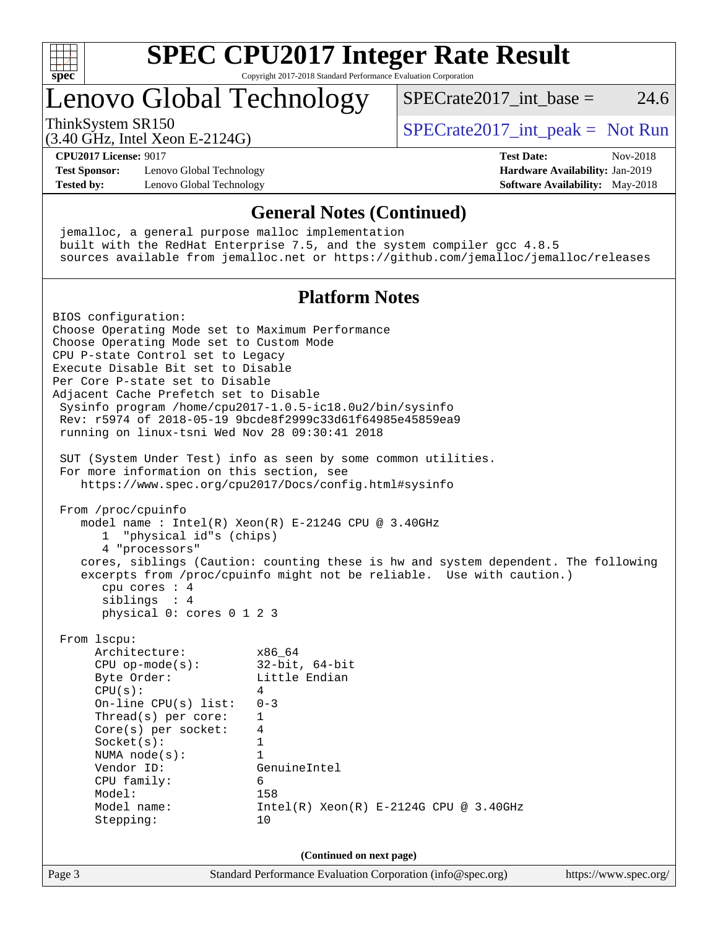

# **[SPEC CPU2017 Integer Rate Result](http://www.spec.org/auto/cpu2017/Docs/result-fields.html#SPECCPU2017IntegerRateResult)**

Copyright 2017-2018 Standard Performance Evaluation Corporation

## Lenovo Global Technology

ThinkSystem SR150<br>  $SPECTR_{15}$  [SPECrate2017\\_int\\_peak =](http://www.spec.org/auto/cpu2017/Docs/result-fields.html#SPECrate2017intpeak) Not Run

SPECrate  $2017$  int base = 24.6

(3.40 GHz, Intel Xeon E-2124G)

**[CPU2017 License:](http://www.spec.org/auto/cpu2017/Docs/result-fields.html#CPU2017License)** 9017 **[Test Date:](http://www.spec.org/auto/cpu2017/Docs/result-fields.html#TestDate)** Nov-2018

**[Test Sponsor:](http://www.spec.org/auto/cpu2017/Docs/result-fields.html#TestSponsor)** Lenovo Global Technology **[Hardware Availability:](http://www.spec.org/auto/cpu2017/Docs/result-fields.html#HardwareAvailability)** Jan-2019 **[Tested by:](http://www.spec.org/auto/cpu2017/Docs/result-fields.html#Testedby)** Lenovo Global Technology **[Software Availability:](http://www.spec.org/auto/cpu2017/Docs/result-fields.html#SoftwareAvailability)** May-2018

### **[General Notes \(Continued\)](http://www.spec.org/auto/cpu2017/Docs/result-fields.html#GeneralNotes)**

 jemalloc, a general purpose malloc implementation built with the RedHat Enterprise 7.5, and the system compiler gcc 4.8.5 sources available from jemalloc.net or <https://github.com/jemalloc/jemalloc/releases>

### **[Platform Notes](http://www.spec.org/auto/cpu2017/Docs/result-fields.html#PlatformNotes)**

Page 3 Standard Performance Evaluation Corporation [\(info@spec.org\)](mailto:info@spec.org) <https://www.spec.org/> BIOS configuration: Choose Operating Mode set to Maximum Performance Choose Operating Mode set to Custom Mode CPU P-state Control set to Legacy Execute Disable Bit set to Disable Per Core P-state set to Disable Adjacent Cache Prefetch set to Disable Sysinfo program /home/cpu2017-1.0.5-ic18.0u2/bin/sysinfo Rev: r5974 of 2018-05-19 9bcde8f2999c33d61f64985e45859ea9 running on linux-tsni Wed Nov 28 09:30:41 2018 SUT (System Under Test) info as seen by some common utilities. For more information on this section, see <https://www.spec.org/cpu2017/Docs/config.html#sysinfo> From /proc/cpuinfo model name : Intel(R) Xeon(R) E-2124G CPU @ 3.40GHz 1 "physical id"s (chips) 4 "processors" cores, siblings (Caution: counting these is hw and system dependent. The following excerpts from /proc/cpuinfo might not be reliable. Use with caution.) cpu cores : 4 siblings : 4 physical 0: cores 0 1 2 3 From lscpu: Architecture: x86\_64 CPU op-mode(s): 32-bit, 64-bit<br>Byte Order: Little Endian Little Endian  $CPU(s):$  4 On-line CPU(s) list: 0-3 Thread(s) per core: 1 Core(s) per socket: 4 Socket(s): 1 NUMA node(s): 1 Vendor ID: GenuineIntel CPU family: 6 Model: 158 Model name:  $Intel(R)$  Xeon(R) E-2124G CPU @ 3.40GHz Stepping: 10 **(Continued on next page)**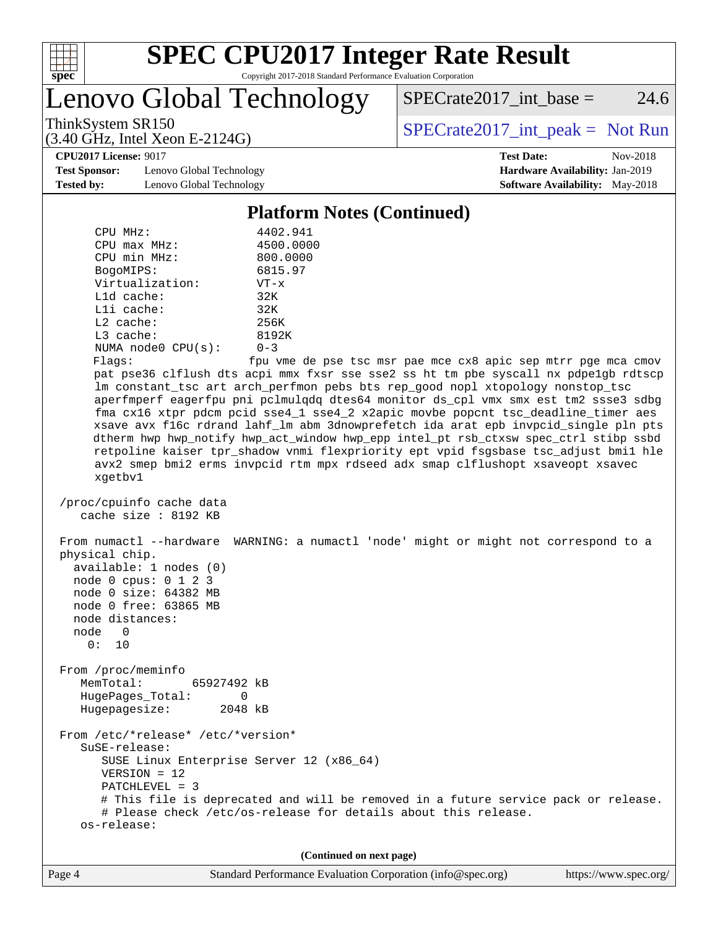

Lenovo Global Technology

 $SPECTate2017\_int\_base = 24.6$ 

(3.40 GHz, Intel Xeon E-2124G)

ThinkSystem SR150<br>  $SPECTR_{15}$  [SPECrate2017\\_int\\_peak =](http://www.spec.org/auto/cpu2017/Docs/result-fields.html#SPECrate2017intpeak) Not Run

**[CPU2017 License:](http://www.spec.org/auto/cpu2017/Docs/result-fields.html#CPU2017License)** 9017 **[Test Date:](http://www.spec.org/auto/cpu2017/Docs/result-fields.html#TestDate)** Nov-2018

**[Test Sponsor:](http://www.spec.org/auto/cpu2017/Docs/result-fields.html#TestSponsor)** Lenovo Global Technology **[Hardware Availability:](http://www.spec.org/auto/cpu2017/Docs/result-fields.html#HardwareAvailability)** Jan-2019 **[Tested by:](http://www.spec.org/auto/cpu2017/Docs/result-fields.html#Testedby)** Lenovo Global Technology **[Software Availability:](http://www.spec.org/auto/cpu2017/Docs/result-fields.html#SoftwareAvailability)** May-2018

#### **[Platform Notes \(Continued\)](http://www.spec.org/auto/cpu2017/Docs/result-fields.html#PlatformNotes)**

| CPU MHz:                | 4402.941   |
|-------------------------|------------|
| $CPIJ$ max $MHz$ :      | 4500.0000  |
| CPU min MHz:            | 800.0000   |
| BogoMIPS:               | 6815.97    |
| Virtualization:         | $VT - x$   |
| $L1d$ cache:            | 32K        |
| $L1i$ cache:            | 32K        |
| $L2$ cache:             | 256K       |
| $L3$ cache:             | 8192K      |
| NUMA $node0$ $CPU(s)$ : | $0 - 3$    |
| Flanc:                  | fnu wme de |

Flags: fpu vme de pse tsc msr pae mce cx8 apic sep mtrr pge mca cmov pat pse36 clflush dts acpi mmx fxsr sse sse2 ss ht tm pbe syscall nx pdpe1gb rdtscp lm constant\_tsc art arch\_perfmon pebs bts rep\_good nopl xtopology nonstop\_tsc aperfmperf eagerfpu pni pclmulqdq dtes64 monitor ds\_cpl vmx smx est tm2 ssse3 sdbg fma cx16 xtpr pdcm pcid sse4\_1 sse4\_2 x2apic movbe popcnt tsc\_deadline\_timer aes xsave avx f16c rdrand lahf\_lm abm 3dnowprefetch ida arat epb invpcid\_single pln pts dtherm hwp hwp\_notify hwp\_act\_window hwp\_epp intel\_pt rsb\_ctxsw spec\_ctrl stibp ssbd retpoline kaiser tpr\_shadow vnmi flexpriority ept vpid fsgsbase tsc\_adjust bmi1 hle avx2 smep bmi2 erms invpcid rtm mpx rdseed adx smap clflushopt xsaveopt xsavec xgetbv1

```
 /proc/cpuinfo cache data
cache size : 8192 KB
```
 From numactl --hardware WARNING: a numactl 'node' might or might not correspond to a physical chip. available: 1 nodes (0) node 0 cpus: 0 1 2 3 node 0 size: 64382 MB node 0 free: 63865 MB node distances: node 0 0: 10 From /proc/meminfo MemTotal: 65927492 kB HugePages\_Total: 0 Hugepagesize: 2048 kB From /etc/\*release\* /etc/\*version\* SuSE-release: SUSE Linux Enterprise Server 12 (x86\_64) VERSION = 12 PATCHLEVEL = 3 # This file is deprecated and will be removed in a future service pack or release.

 # Please check /etc/os-release for details about this release. os-release:

**(Continued on next page)**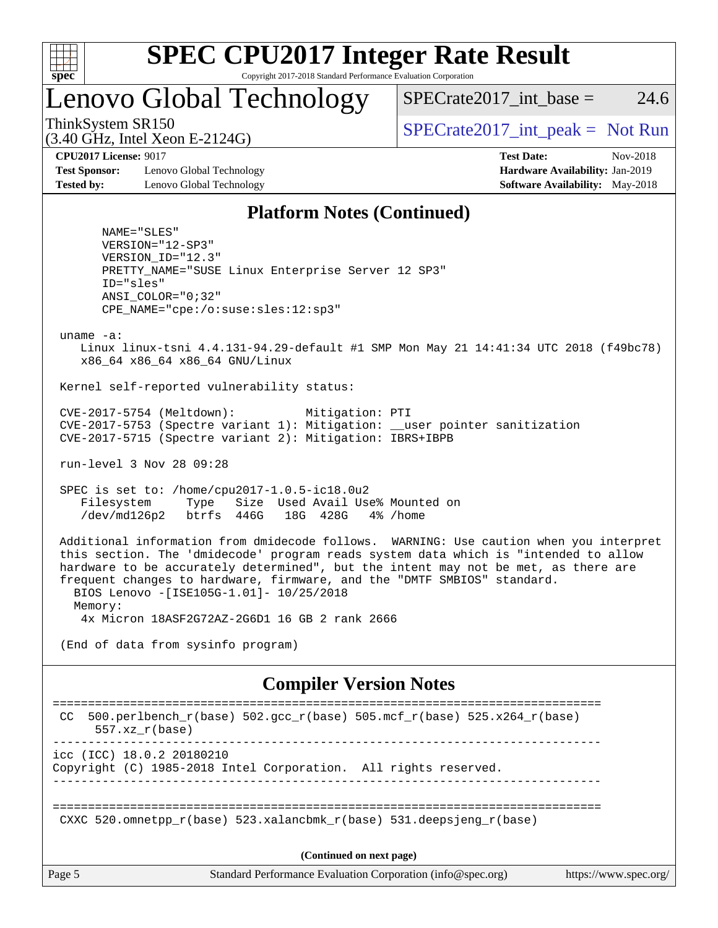

### Lenovo Global Technology

SPECrate  $2017$  int base = 24.6

(3.40 GHz, Intel Xeon E-2124G)

ThinkSystem SR150<br>  $SPECTR_{15}$  [SPECrate2017\\_int\\_peak =](http://www.spec.org/auto/cpu2017/Docs/result-fields.html#SPECrate2017intpeak) Not Run

**[Test Sponsor:](http://www.spec.org/auto/cpu2017/Docs/result-fields.html#TestSponsor)** Lenovo Global Technology **[Hardware Availability:](http://www.spec.org/auto/cpu2017/Docs/result-fields.html#HardwareAvailability)** Jan-2019 **[Tested by:](http://www.spec.org/auto/cpu2017/Docs/result-fields.html#Testedby)** Lenovo Global Technology **[Software Availability:](http://www.spec.org/auto/cpu2017/Docs/result-fields.html#SoftwareAvailability)** May-2018

**[CPU2017 License:](http://www.spec.org/auto/cpu2017/Docs/result-fields.html#CPU2017License)** 9017 **[Test Date:](http://www.spec.org/auto/cpu2017/Docs/result-fields.html#TestDate)** Nov-2018

#### **[Platform Notes \(Continued\)](http://www.spec.org/auto/cpu2017/Docs/result-fields.html#PlatformNotes)**

 NAME="SLES" VERSION="12-SP3" VERSION\_ID="12.3" PRETTY\_NAME="SUSE Linux Enterprise Server 12 SP3" ID="sles" ANSI\_COLOR="0;32" CPE\_NAME="cpe:/o:suse:sles:12:sp3"

uname -a:

 Linux linux-tsni 4.4.131-94.29-default #1 SMP Mon May 21 14:41:34 UTC 2018 (f49bc78) x86\_64 x86\_64 x86\_64 GNU/Linux

Kernel self-reported vulnerability status:

 CVE-2017-5754 (Meltdown): Mitigation: PTI CVE-2017-5753 (Spectre variant 1): Mitigation: \_\_user pointer sanitization CVE-2017-5715 (Spectre variant 2): Mitigation: IBRS+IBPB

run-level 3 Nov 28 09:28

 SPEC is set to: /home/cpu2017-1.0.5-ic18.0u2 Filesystem Type Size Used Avail Use% Mounted on /dev/md126p2 btrfs 446G 18G 428G 4% /home

 Additional information from dmidecode follows. WARNING: Use caution when you interpret this section. The 'dmidecode' program reads system data which is "intended to allow hardware to be accurately determined", but the intent may not be met, as there are frequent changes to hardware, firmware, and the "DMTF SMBIOS" standard. BIOS Lenovo -[ISE105G-1.01]- 10/25/2018 Memory: 4x Micron 18ASF2G72AZ-2G6D1 16 GB 2 rank 2666

(End of data from sysinfo program)

#### **[Compiler Version Notes](http://www.spec.org/auto/cpu2017/Docs/result-fields.html#CompilerVersionNotes)**

Page 5 Standard Performance Evaluation Corporation [\(info@spec.org\)](mailto:info@spec.org) <https://www.spec.org/> ============================================================================== CC 500.perlbench\_r(base)  $502.\text{gcc\_r}$ (base)  $505.\text{mcf\_r}$ (base)  $525.\text{x}264_\text{r}$ (base) 557.xz\_r(base) ----------------------------------------------------------------------------- icc (ICC) 18.0.2 20180210 Copyright (C) 1985-2018 Intel Corporation. All rights reserved. ------------------------------------------------------------------------------ ============================================================================== CXXC 520.omnetpp  $r(base)$  523.xalancbmk  $r(base)$  531.deepsjeng  $r(base)$ **(Continued on next page)**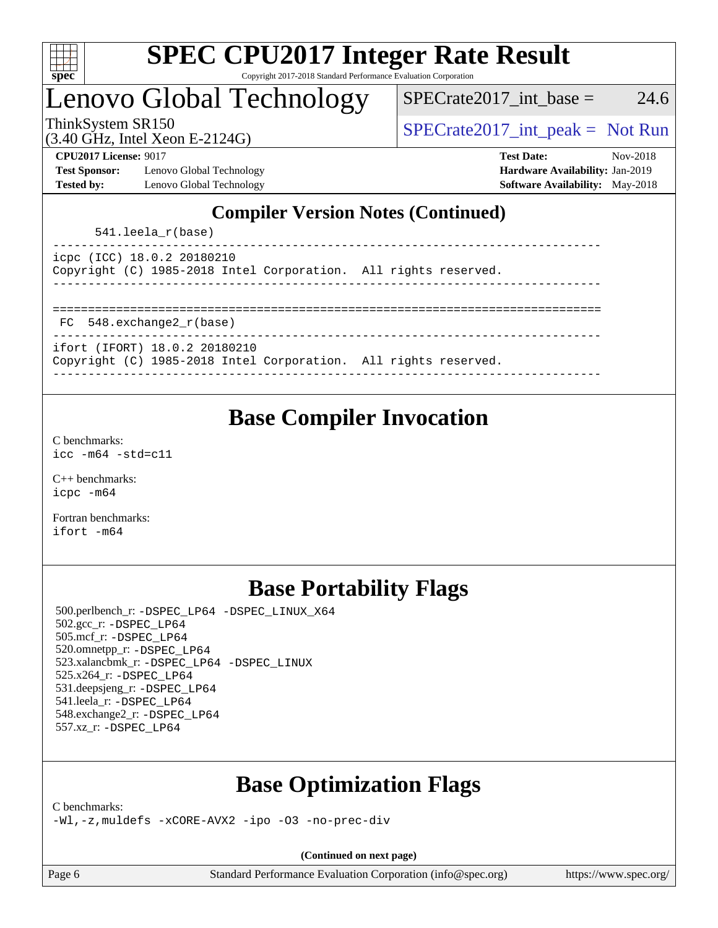

### Lenovo Global Technology

 $SPECTate2017\_int\_base = 24.6$ 

(3.40 GHz, Intel Xeon E-2124G)

ThinkSystem SR150<br>  $SPECTR_{15}$  [SPECrate2017\\_int\\_peak =](http://www.spec.org/auto/cpu2017/Docs/result-fields.html#SPECrate2017intpeak) Not Run

**[Test Sponsor:](http://www.spec.org/auto/cpu2017/Docs/result-fields.html#TestSponsor)** Lenovo Global Technology **[Hardware Availability:](http://www.spec.org/auto/cpu2017/Docs/result-fields.html#HardwareAvailability)** Jan-2019 **[Tested by:](http://www.spec.org/auto/cpu2017/Docs/result-fields.html#Testedby)** Lenovo Global Technology **[Software Availability:](http://www.spec.org/auto/cpu2017/Docs/result-fields.html#SoftwareAvailability)** May-2018

**[CPU2017 License:](http://www.spec.org/auto/cpu2017/Docs/result-fields.html#CPU2017License)** 9017 **[Test Date:](http://www.spec.org/auto/cpu2017/Docs/result-fields.html#TestDate)** Nov-2018

### **[Compiler Version Notes \(Continued\)](http://www.spec.org/auto/cpu2017/Docs/result-fields.html#CompilerVersionNotes)**

541.leela\_r(base)

| icpc (ICC) 18.0.2 20180210 |                                                                 |  |  |
|----------------------------|-----------------------------------------------------------------|--|--|
|                            | Copyright (C) 1985-2018 Intel Corporation. All rights reserved. |  |  |
|                            |                                                                 |  |  |

| FC 548.exchange2_r(base) |  |
|--------------------------|--|

```
------------------------------------------------------------------------------
```
ifort (IFORT) 18.0.2 20180210

|  |  | Copyright (C) 1985-2018 Intel Corporation. All rights reserved. |  |
|--|--|-----------------------------------------------------------------|--|
|  |  |                                                                 |  |

### **[Base Compiler Invocation](http://www.spec.org/auto/cpu2017/Docs/result-fields.html#BaseCompilerInvocation)**

[C benchmarks](http://www.spec.org/auto/cpu2017/Docs/result-fields.html#Cbenchmarks): [icc -m64 -std=c11](http://www.spec.org/cpu2017/results/res2018q4/cpu2017-20181210-10108.flags.html#user_CCbase_intel_icc_64bit_c11_33ee0cdaae7deeeab2a9725423ba97205ce30f63b9926c2519791662299b76a0318f32ddfffdc46587804de3178b4f9328c46fa7c2b0cd779d7a61945c91cd35)

[C++ benchmarks:](http://www.spec.org/auto/cpu2017/Docs/result-fields.html#CXXbenchmarks) [icpc -m64](http://www.spec.org/cpu2017/results/res2018q4/cpu2017-20181210-10108.flags.html#user_CXXbase_intel_icpc_64bit_4ecb2543ae3f1412ef961e0650ca070fec7b7afdcd6ed48761b84423119d1bf6bdf5cad15b44d48e7256388bc77273b966e5eb805aefd121eb22e9299b2ec9d9)

[Fortran benchmarks](http://www.spec.org/auto/cpu2017/Docs/result-fields.html#Fortranbenchmarks): [ifort -m64](http://www.spec.org/cpu2017/results/res2018q4/cpu2017-20181210-10108.flags.html#user_FCbase_intel_ifort_64bit_24f2bb282fbaeffd6157abe4f878425411749daecae9a33200eee2bee2fe76f3b89351d69a8130dd5949958ce389cf37ff59a95e7a40d588e8d3a57e0c3fd751)

### **[Base Portability Flags](http://www.spec.org/auto/cpu2017/Docs/result-fields.html#BasePortabilityFlags)**

 500.perlbench\_r: [-DSPEC\\_LP64](http://www.spec.org/cpu2017/results/res2018q4/cpu2017-20181210-10108.flags.html#b500.perlbench_r_basePORTABILITY_DSPEC_LP64) [-DSPEC\\_LINUX\\_X64](http://www.spec.org/cpu2017/results/res2018q4/cpu2017-20181210-10108.flags.html#b500.perlbench_r_baseCPORTABILITY_DSPEC_LINUX_X64) 502.gcc\_r: [-DSPEC\\_LP64](http://www.spec.org/cpu2017/results/res2018q4/cpu2017-20181210-10108.flags.html#suite_basePORTABILITY502_gcc_r_DSPEC_LP64) 505.mcf\_r: [-DSPEC\\_LP64](http://www.spec.org/cpu2017/results/res2018q4/cpu2017-20181210-10108.flags.html#suite_basePORTABILITY505_mcf_r_DSPEC_LP64) 520.omnetpp\_r: [-DSPEC\\_LP64](http://www.spec.org/cpu2017/results/res2018q4/cpu2017-20181210-10108.flags.html#suite_basePORTABILITY520_omnetpp_r_DSPEC_LP64) 523.xalancbmk\_r: [-DSPEC\\_LP64](http://www.spec.org/cpu2017/results/res2018q4/cpu2017-20181210-10108.flags.html#suite_basePORTABILITY523_xalancbmk_r_DSPEC_LP64) [-DSPEC\\_LINUX](http://www.spec.org/cpu2017/results/res2018q4/cpu2017-20181210-10108.flags.html#b523.xalancbmk_r_baseCXXPORTABILITY_DSPEC_LINUX) 525.x264\_r: [-DSPEC\\_LP64](http://www.spec.org/cpu2017/results/res2018q4/cpu2017-20181210-10108.flags.html#suite_basePORTABILITY525_x264_r_DSPEC_LP64) 531.deepsjeng\_r: [-DSPEC\\_LP64](http://www.spec.org/cpu2017/results/res2018q4/cpu2017-20181210-10108.flags.html#suite_basePORTABILITY531_deepsjeng_r_DSPEC_LP64) 541.leela\_r: [-DSPEC\\_LP64](http://www.spec.org/cpu2017/results/res2018q4/cpu2017-20181210-10108.flags.html#suite_basePORTABILITY541_leela_r_DSPEC_LP64) 548.exchange2\_r: [-DSPEC\\_LP64](http://www.spec.org/cpu2017/results/res2018q4/cpu2017-20181210-10108.flags.html#suite_basePORTABILITY548_exchange2_r_DSPEC_LP64) 557.xz\_r: [-DSPEC\\_LP64](http://www.spec.org/cpu2017/results/res2018q4/cpu2017-20181210-10108.flags.html#suite_basePORTABILITY557_xz_r_DSPEC_LP64)

### **[Base Optimization Flags](http://www.spec.org/auto/cpu2017/Docs/result-fields.html#BaseOptimizationFlags)**

[C benchmarks](http://www.spec.org/auto/cpu2017/Docs/result-fields.html#Cbenchmarks):

[-Wl,-z,muldefs](http://www.spec.org/cpu2017/results/res2018q4/cpu2017-20181210-10108.flags.html#user_CCbase_link_force_multiple1_b4cbdb97b34bdee9ceefcfe54f4c8ea74255f0b02a4b23e853cdb0e18eb4525ac79b5a88067c842dd0ee6996c24547a27a4b99331201badda8798ef8a743f577) [-xCORE-AVX2](http://www.spec.org/cpu2017/results/res2018q4/cpu2017-20181210-10108.flags.html#user_CCbase_f-xCORE-AVX2) [-ipo](http://www.spec.org/cpu2017/results/res2018q4/cpu2017-20181210-10108.flags.html#user_CCbase_f-ipo) [-O3](http://www.spec.org/cpu2017/results/res2018q4/cpu2017-20181210-10108.flags.html#user_CCbase_f-O3) [-no-prec-div](http://www.spec.org/cpu2017/results/res2018q4/cpu2017-20181210-10108.flags.html#user_CCbase_f-no-prec-div)

**(Continued on next page)**

Page 6 Standard Performance Evaluation Corporation [\(info@spec.org\)](mailto:info@spec.org) <https://www.spec.org/>